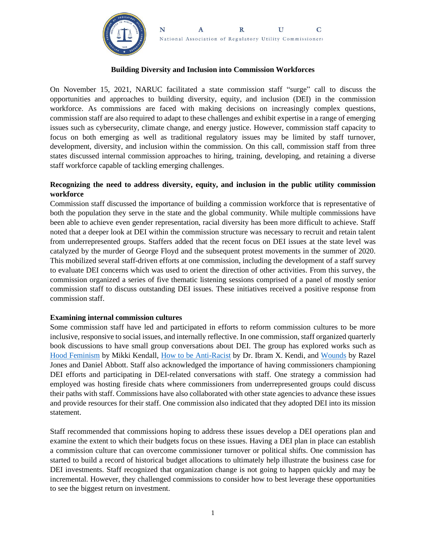

#### **Building Diversity and Inclusion into Commission Workforces**

On November 15, 2021, NARUC facilitated a state commission staff "surge" call to discuss the opportunities and approaches to building diversity, equity, and inclusion (DEI) in the commission workforce. As commissions are faced with making decisions on increasingly complex questions, commission staff are also required to adapt to these challenges and exhibit expertise in a range of emerging issues such as cybersecurity, climate change, and energy justice. However, commission staff capacity to focus on both emerging as well as traditional regulatory issues may be limited by staff turnover, development, diversity, and inclusion within the commission. On this call, commission staff from three states discussed internal commission approaches to hiring, training, developing, and retaining a diverse staff workforce capable of tackling emerging challenges.

### **Recognizing the need to address diversity, equity, and inclusion in the public utility commission workforce**

Commission staff discussed the importance of building a commission workforce that is representative of both the population they serve in the state and the global community. While multiple commissions have been able to achieve even gender representation, racial diversity has been more difficult to achieve. Staff noted that a deeper look at DEI within the commission structure was necessary to recruit and retain talent from underrepresented groups. Staffers added that the recent focus on DEI issues at the state level was catalyzed by the murder of George Floyd and the subsequent protest movements in the summer of 2020. This mobilized several staff-driven efforts at one commission, including the development of a staff survey to evaluate DEI concerns which was used to orient the direction of other activities. From this survey, the commission organized a series of five thematic listening sessions comprised of a panel of mostly senior commission staff to discuss outstanding DEI issues. These initiatives received a positive response from commission staff.

#### **Examining internal commission cultures**

Some commission staff have led and participated in efforts to reform commission cultures to be more inclusive, responsive to social issues, and internally reflective. In one commission, staff organized quarterly book discussions to have small group conversations about DEI. The group has explored works such as [Hood Feminism](https://www.goodreads.com/book/show/36687229-hood-feminism?from_search=true&from_srp=true&qid=RiVwU3t4Ym&rank=1) by Mikki Kendall, [How to be Anti-Racist](https://www.goodreads.com/book/show/40265832-how-to-be-an-antiracist) by Dr. Ibram X. Kendi, and [Wounds](https://www.goodreads.com/book/show/55521687-wounds) by Razel Jones and Daniel Abbott. Staff also acknowledged the importance of having commissioners championing DEI efforts and participating in DEI-related conversations with staff. One strategy a commission had employed was hosting fireside chats where commissioners from underrepresented groups could discuss their paths with staff. Commissions have also collaborated with other state agencies to advance these issues and provide resources for their staff. One commission also indicated that they adopted DEI into its mission statement.

Staff recommended that commissions hoping to address these issues develop a DEI operations plan and examine the extent to which their budgets focus on these issues. Having a DEI plan in place can establish a commission culture that can overcome commissioner turnover or political shifts. One commission has started to build a record of historical budget allocations to ultimately help illustrate the business case for DEI investments. Staff recognized that organization change is not going to happen quickly and may be incremental. However, they challenged commissions to consider how to best leverage these opportunities to see the biggest return on investment.